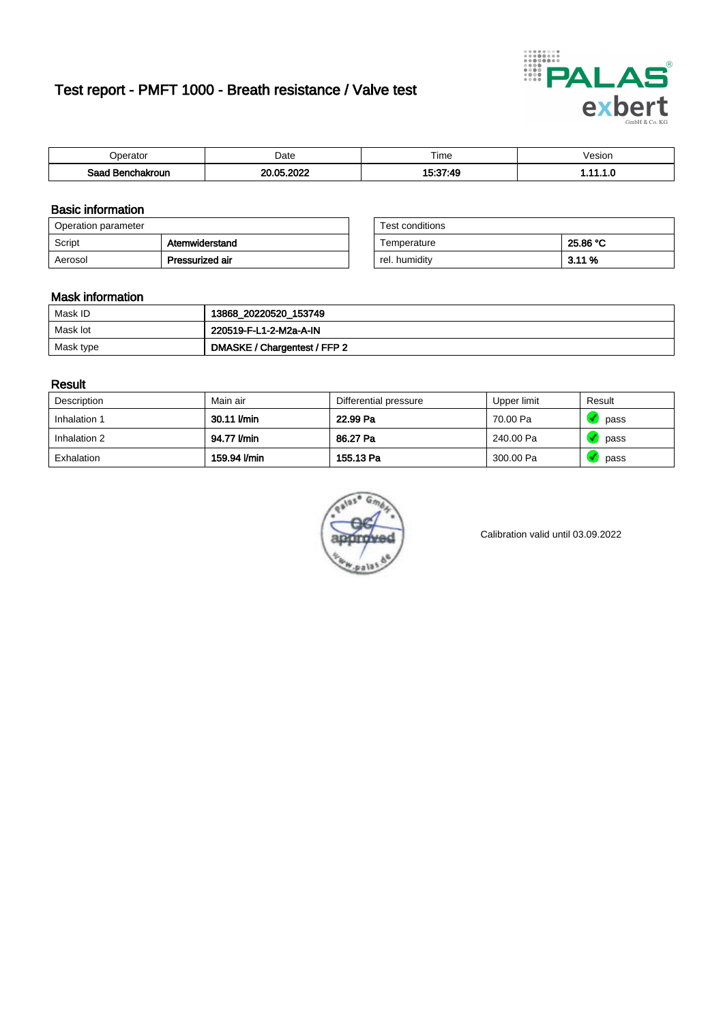# Test report - PMFT 1000 - Breath resistance / Valve test



| Jperator         | Date            | $- \cdot$<br>Гіmе | esion? |
|------------------|-----------------|-------------------|--------|
| Saad Benchakroun | .2022<br>20. UK | 15・37・40<br>- 73  | .      |

### Basic information

| Operation parameter |                 | Test conditions |          |
|---------------------|-----------------|-----------------|----------|
| Script              | Atemwiderstand  | Temperature     | 25.86 °C |
| Aerosol             | Pressurized air | rel. humidity   | 3.11%    |

| Test conditions |          |
|-----------------|----------|
| Temperature     | 25.86 °C |
| rel. humidity   | 3.11%    |

### Mask information

| Mask ID   | 13868_20220520_153749        |
|-----------|------------------------------|
| Mask lot  | 220519-F-L1-2-M2a-A-IN       |
| Mask type | DMASKE / Chargentest / FFP 2 |

### Result

| Description  | Main air     | Differential pressure | Upper limit | Result |
|--------------|--------------|-----------------------|-------------|--------|
| Inhalation 1 | 30.11 l/min  | 22.99 Pa              | 70.00 Pa    | pass   |
| Inhalation 2 | 94.77 l/min  | 86.27 Pa              | 240.00 Pa   | pass   |
| Exhalation   | 159.94 l/min | 155.13 Pa             | 300.00 Pa   | pass   |



Calibration valid until 03.09.2022